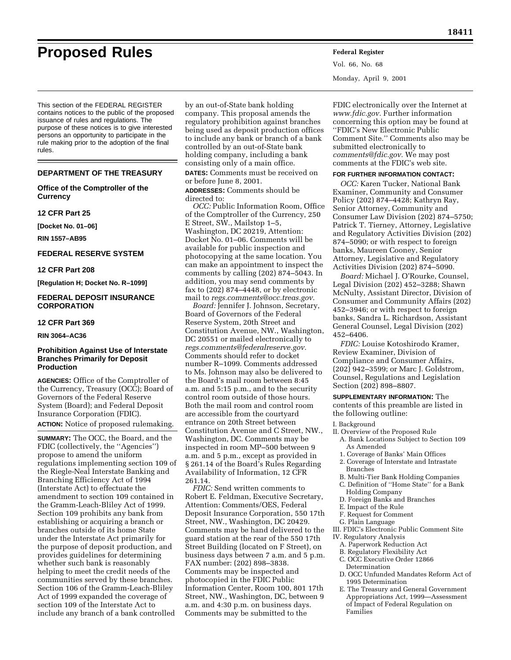# **Proposed Rules Federal Register**

Vol. 66, No. 68 Monday, April 9, 2001

This section of the FEDERAL REGISTER contains notices to the public of the proposed issuance of rules and regulations. The purpose of these notices is to give interested persons an opportunity to participate in the rule making prior to the adoption of the final rules.

#### **DEPARTMENT OF THE TREASURY**

# **Office of the Comptroller of the Currency**

#### **12 CFR Part 25**

**[Docket No. 01–06]**

**RIN 1557–AB95**

# **FEDERAL RESERVE SYSTEM**

#### **12 CFR Part 208**

**[Regulation H; Docket No. R–1099]**

# **FEDERAL DEPOSIT INSURANCE CORPORATION**

#### **12 CFR Part 369**

**RIN 3064–AC36**

# **Prohibition Against Use of Interstate Branches Primarily for Deposit Production**

**AGENCIES:** Office of the Comptroller of the Currency, Treasury (OCC); Board of Governors of the Federal Reserve System (Board); and Federal Deposit Insurance Corporation (FDIC). **ACTION:** Notice of proposed rulemaking.

**SUMMARY:** The OCC, the Board, and the FDIC (collectively, the ''Agencies'') propose to amend the uniform regulations implementing section 109 of the Riegle-Neal Interstate Banking and Branching Efficiency Act of 1994 (Interstate Act) to effectuate the amendment to section 109 contained in the Gramm-Leach-Bliley Act of 1999. Section 109 prohibits any bank from establishing or acquiring a branch or branches outside of its home State under the Interstate Act primarily for the purpose of deposit production, and provides guidelines for determining whether such bank is reasonably helping to meet the credit needs of the communities served by these branches. Section 106 of the Gramm-Leach-Bliley Act of 1999 expanded the coverage of section 109 of the Interstate Act to include any branch of a bank controlled

by an out-of-State bank holding company. This proposal amends the regulatory prohibition against branches being used as deposit production offices to include any bank or branch of a bank controlled by an out-of-State bank holding company, including a bank consisting only of a main office. **DATES:** Comments must be received on

or before June 8, 2001.

**ADDRESSES:** Comments should be directed to:

*OCC:* Public Information Room, Office of the Comptroller of the Currency, 250 E Street, SW., Mailstop 1–5, Washington, DC 20219, Attention: Docket No. 01–06. Comments will be available for public inspection and photocopying at the same location. You can make an appointment to inspect the comments by calling (202) 874–5043. In addition, you may send comments by fax to (202) 874–4448, or by electronic mail to *regs.comments@occ.treas.gov.* 

*Board:* Jennifer J. Johnson, Secretary, Board of Governors of the Federal Reserve System, 20th Street and Constitution Avenue, NW., Washington, DC 20551 or mailed electronically to *regs.comments@federalreserve.gov.* Comments should refer to docket number R–1099. Comments addressed to Ms. Johnson may also be delivered to the Board's mail room between 8:45 a.m. and 5:15 p.m., and to the security control room outside of those hours. Both the mail room and control room are accessible from the courtyard entrance on 20th Street between Constitution Avenue and C Street, NW., Washington, DC. Comments may be inspected in room MP–500 between 9 a.m. and 5 p.m., except as provided in § 261.14 of the Board's Rules Regarding Availability of Information, 12 CFR 261.14.

*FDIC:* Send written comments to Robert E. Feldman, Executive Secretary, Attention: Comments/OES, Federal Deposit Insurance Corporation, 550 17th Street, NW., Washington, DC 20429. Comments may be hand delivered to the guard station at the rear of the 550 17th Street Building (located on F Street), on business days between 7 a.m. and 5 p.m. FAX number: (202) 898–3838. Comments may be inspected and photocopied in the FDIC Public Information Center, Room 100, 801 17th Street, NW., Washington, DC, between 9 a.m. and 4:30 p.m. on business days. Comments may be submitted to the

FDIC electronically over the Internet at *www.fdic.gov.* Further information concerning this option may be found at ''FDIC's New Electronic Public Comment Site.'' Comments also may be submitted electronically to *comments@fdic.gov.* We may post comments at the FDIC's web site.

## **FOR FURTHER INFORMATION CONTACT:**

*OCC:* Karen Tucker, National Bank Examiner, Community and Consumer Policy (202) 874–4428; Kathryn Ray, Senior Attorney, Community and Consumer Law Division (202) 874–5750; Patrick T. Tierney, Attorney, Legislative and Regulatory Activities Division (202) 874–5090; or with respect to foreign banks, Maureen Cooney, Senior Attorney, Legislative and Regulatory Activities Division (202) 874–5090.

*Board:* Michael J. O'Rourke, Counsel, Legal Division (202) 452–3288; Shawn McNulty, Assistant Director, Division of Consumer and Community Affairs (202) 452–3946; or with respect to foreign banks, Sandra L. Richardson, Assistant General Counsel, Legal Division (202) 452–6406.

*FDIC:* Louise Kotoshirodo Kramer, Review Examiner, Division of Compliance and Consumer Affairs, (202) 942–3599; or Marc J. Goldstrom, Counsel, Regulations and Legislation Section (202) 898–8807.

**SUPPLEMENTARY INFORMATION:** The contents of this preamble are listed in the following outline:

# I. Background

- II. Overview of the Proposed Rule A. Bank Locations Subject to Section 109 As Amended
	-
	- 1. Coverage of Banks' Main Offices 2. Coverage of Interstate and Intrastate
	- Branches
	- B. Multi-Tier Bank Holding Companies
	- C. Definition of ''Home State'' for a Bank Holding Company
	- D. Foreign Banks and Branches
- E. Impact of the Rule
- F. Request for Comment
- G. Plain Language

III. FDIC's Electronic Public Comment Site IV. Regulatory Analysis

- A. Paperwork Reduction Act
- B. Regulatory Flexibility Act
- C. OCC Executive Order 12866 Determination
- D. OCC Unfunded Mandates Reform Act of 1995 Determination
- E. The Treasury and General Government Appropriations Act, 1999—Assessment of Impact of Federal Regulation on Families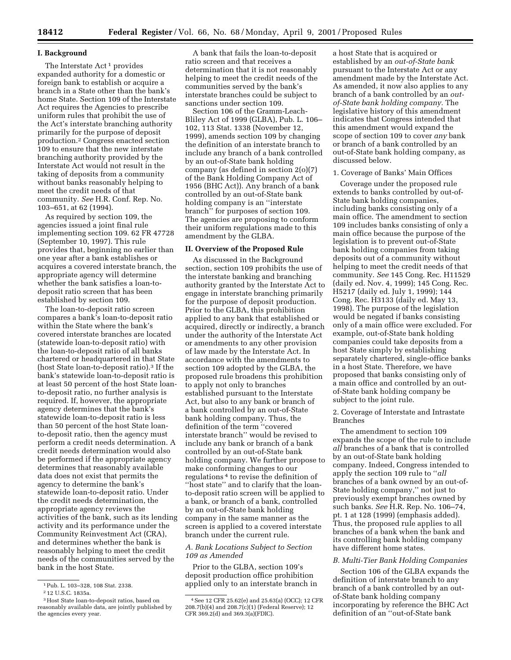#### **I. Background**

The Interstate Act<sup>1</sup> provides expanded authority for a domestic or foreign bank to establish or acquire a branch in a State other than the bank's home State. Section 109 of the Interstate Act requires the Agencies to prescribe uniform rules that prohibit the use of the Act's interstate branching authority primarily for the purpose of deposit production.2 Congress enacted section 109 to ensure that the new interstate branching authority provided by the Interstate Act would not result in the taking of deposits from a community without banks reasonably helping to meet the credit needs of that community. *See* H.R. Conf. Rep. No. 103–651, at 62 (1994).

As required by section 109, the agencies issued a joint final rule implementing section 109. 62 FR 47728 (September 10, 1997). This rule provides that, beginning no earlier than one year after a bank establishes or acquires a covered interstate branch, the appropriate agency will determine whether the bank satisfies a loan-todeposit ratio screen that has been established by section 109.

The loan-to-deposit ratio screen compares a bank's loan-to-deposit ratio within the State where the bank's covered interstate branches are located (statewide loan-to-deposit ratio) with the loan-to-deposit ratio of all banks chartered or headquartered in that State (host State loan-to-deposit ratio).3 If the bank's statewide loan-to-deposit ratio is at least 50 percent of the host State loanto-deposit ratio, no further analysis is required. If, however, the appropriate agency determines that the bank's statewide loan-to-deposit ratio is less than 50 percent of the host State loanto-deposit ratio, then the agency must perform a credit needs determination. A credit needs determination would also be performed if the appropriate agency determines that reasonably available data does not exist that permits the agency to determine the bank's statewide loan-to-deposit ratio. Under the credit needs determination, the appropriate agency reviews the activities of the bank, such as its lending activity and its performance under the Community Reinvestment Act (CRA), and determines whether the bank is reasonably helping to meet the credit needs of the communities served by the bank in the host State.

A bank that fails the loan-to-deposit ratio screen and that receives a determination that it is not reasonably helping to meet the credit needs of the communities served by the bank's interstate branches could be subject to sanctions under section 109.

Section 106 of the Gramm-Leach-Bliley Act of 1999 (GLBA), Pub. L. 106– 102, 113 Stat. 1338 (November 12, 1999), amends section 109 by changing the definition of an interstate branch to include any branch of a bank controlled by an out-of-State bank holding company (as defined in section 2(o)(7) of the Bank Holding Company Act of 1956 (BHC Act)). Any branch of a bank controlled by an out-of-State bank holding company is an ''interstate branch'' for purposes of section 109. The agencies are proposing to conform their uniform regulations made to this amendment by the GLBA.

#### **II. Overview of the Proposed Rule**

As discussed in the Background section, section 109 prohibits the use of the interstate banking and branching authority granted by the Interstate Act to engage in interstate branching primarily for the purpose of deposit production. Prior to the GLBA, this prohibition applied to any bank that established or acquired, directly or indirectly, a branch under the authority of the Interstate Act or amendments to any other provision of law made by the Interstate Act. In accordance with the amendments to section 109 adopted by the GLBA, the proposed rule broadens this prohibition to apply not only to branches established pursuant to the Interstate Act, but also to any bank or branch of a bank controlled by an out-of-State bank holding company. Thus, the definition of the term ''covered interstate branch'' would be revised to include any bank or branch of a bank controlled by an out-of-State bank holding company. We further propose to make conforming changes to our regulations 4 to revise the definition of ''host state'' and to clarify that the loanto-deposit ratio screen will be applied to a bank, or branch of a bank, controlled by an out-of-State bank holding company in the same manner as the screen is applied to a covered interstate branch under the current rule.

# *A. Bank Locations Subject to Section 109 as Amended*

Prior to the GLBA, section 109's deposit production office prohibition applied only to an interstate branch in

a host State that is acquired or established by an *out-of-State bank* pursuant to the Interstate Act or any amendment made by the Interstate Act. As amended, it now also applies to any branch of a bank controlled by an *outof-State bank holding company.* The legislative history of this amendment indicates that Congress intended that this amendment would expand the scope of section 109 to cover *any* bank or branch of a bank controlled by an out-of-State bank holding company, as discussed below.

#### 1. Coverage of Banks' Main Offices

Coverage under the proposed rule extends to banks controlled by out-of-State bank holding companies, including banks consisting only of a main office. The amendment to section 109 includes banks consisting of only a main office because the purpose of the legislation is to prevent out-of-State bank holding companies from taking deposits out of a community without helping to meet the credit needs of that community. *See* 145 Cong. Rec. H11529 (daily ed. Nov. 4, 1999); 145 Cong. Rec. H5217 (daily ed. July 1, 1999); 144 Cong. Rec. H3133 (daily ed. May 13, 1998). The purpose of the legislation would be negated if banks consisting only of a main office were excluded. For example, out-of-State bank holding companies could take deposits from a host State simply by establishing separately chartered, single-office banks in a host State. Therefore, we have proposed that banks consisting only of a main office and controlled by an outof-State bank holding company be subject to the joint rule.

2. Coverage of Interstate and Intrastate Branches

The amendment to section 109 expands the scope of the rule to include *all* branches of a bank that is controlled by an out-of-State bank holding company. Indeed, Congress intended to apply the section 109 rule to ''*all* branches of a bank owned by an out-of-State holding company,'' not just to previously exempt branches owned by such banks. *See* H.R. Rep. No. 106–74, pt. 1 at 128 (1999) (emphasis added). Thus, the proposed rule applies to all branches of a bank when the bank and its controlling bank holding company have different home states.

#### *B. Multi-Tier Bank Holding Companies*

Section 106 of the GLBA expands the definition of interstate branch to any branch of a bank controlled by an outof-State bank holding company incorporating by reference the BHC Act definition of an ''out-of-State bank

<sup>1</sup>Pub. L. 103–328, 108 Stat. 2338.

<sup>2</sup> 12 U.S.C. 1835a.

<sup>3</sup>Host State loan-to-deposit ratios, based on reasonably available data, are jointly published by the agencies every year.

<sup>4</sup>See 12 CFR 25.62(e) and 25.63(a) (OCC); 12 CFR 208.7(b)(4) and 208.7(c)(1) (Federal Reserve); 12 CFR 369.2(d) and 369.3(a)(FDIC).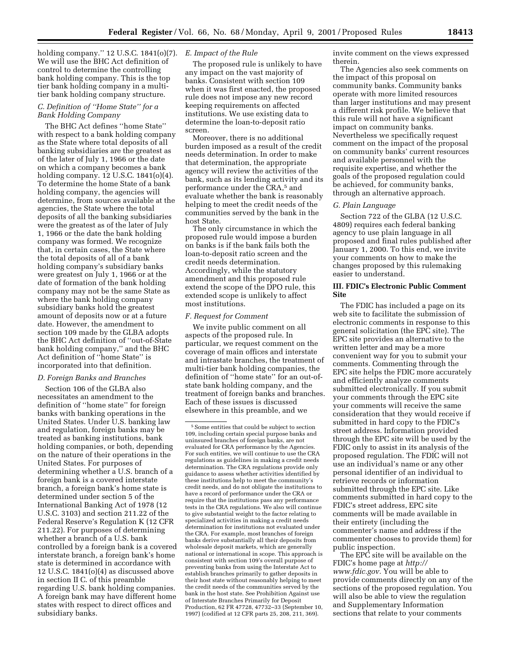holding company.'' 12 U.S.C. 1841(o)(7). *E. Impact of the Rule* We will use the BHC Act definition of control to determine the controlling bank holding company. This is the top tier bank holding company in a multitier bank holding company structure.

# *C. Definition of ''Home State'' for a Bank Holding Company*

The BHC Act defines ''home State'' with respect to a bank holding company as the State where total deposits of all banking subsidiaries are the greatest as of the later of July 1, 1966 or the date on which a company becomes a bank holding company. 12 U.S.C. 1841(o)(4). To determine the home State of a bank holding company, the agencies will determine, from sources available at the agencies, the State where the total deposits of all the banking subsidiaries were the greatest as of the later of July 1, 1966 or the date the bank holding company was formed. We recognize that, in certain cases, the State where the total deposits of all of a bank holding company's subsidiary banks were greatest on July 1, 1966 or at the date of formation of the bank holding company may not be the same State as where the bank holding company subsidiary banks hold the greatest amount of deposits now or at a future date. However, the amendment to section 109 made by the GLBA adopts the BHC Act definition of ''out-of-State bank holding company,'' and the BHC Act definition of ''home State'' is incorporated into that definition.

#### *D. Foreign Banks and Branches*

Section 106 of the GLBA also necessitates an amendment to the definition of ''home state'' for foreign banks with banking operations in the United States. Under U.S. banking law and regulation, foreign banks may be treated as banking institutions, bank holding companies, or both, depending on the nature of their operations in the United States. For purposes of determining whether a U.S. branch of a foreign bank is a covered interstate branch, a foreign bank's home state is determined under section 5 of the International Banking Act of 1978 (12 U.S.C. 3103) and section 211.22 of the Federal Reserve's Regulation K (12 CFR 211.22). For purposes of determining whether a branch of a U.S. bank controlled by a foreign bank is a covered interstate branch, a foreign bank's home state is determined in accordance with 12 U.S.C. 1841(o)(4) as discussed above in section II C. of this preamble regarding U.S. bank holding companies. A foreign bank may have different home states with respect to direct offices and subsidiary banks.

The proposed rule is unlikely to have any impact on the vast majority of banks. Consistent with section 109 when it was first enacted, the proposed rule does not impose any new record keeping requirements on affected institutions. We use existing data to determine the loan-to-deposit ratio screen.

Moreover, there is no additional burden imposed as a result of the credit needs determination. In order to make that determination, the appropriate agency will review the activities of the bank, such as its lending activity and its performance under the CRA,5 and evaluate whether the bank is reasonably helping to meet the credit needs of the communities served by the bank in the host State.

The only circumstance in which the proposed rule would impose a burden on banks is if the bank fails both the loan-to-deposit ratio screen and the credit needs determination. Accordingly, while the statutory amendment and this proposed rule extend the scope of the DPO rule, this extended scope is unlikely to affect most institutions.

#### *F. Request for Comment*

We invite public comment on all aspects of the proposed rule. In particular, we request comment on the coverage of main offices and interstate and intrastate branches, the treatment of multi-tier bank holding companies, the definition of ''home state'' for an out-ofstate bank holding company, and the treatment of foreign banks and branches. Each of these issues is discussed elsewhere in this preamble, and we

invite comment on the views expressed therein.

The Agencies also seek comments on the impact of this proposal on community banks. Community banks operate with more limited resources than larger institutions and may present a different risk profile. We believe that this rule will not have a significant impact on community banks. Nevertheless we specifically request comment on the impact of the proposal on community banks' current resources and available personnel with the requisite expertise, and whether the goals of the proposed regulation could be achieved, for community banks, through an alternative approach.

#### *G. Plain Language*

Section 722 of the GLBA (12 U.S.C. 4809) requires each federal banking agency to use plain language in all proposed and final rules published after January 1, 2000. To this end, we invite your comments on how to make the changes proposed by this rulemaking easier to understand.

### **III. FDIC's Electronic Public Comment Site**

The FDIC has included a page on its web site to facilitate the submission of electronic comments in response to this general solicitation (the EPC site). The EPC site provides an alternative to the written letter and may be a more convenient way for you to submit your comments. Commenting through the EPC site helps the FDIC more accurately and efficiently analyze comments submitted electronically. If you submit your comments through the EPC site your comments will receive the same consideration that they would receive if submitted in hard copy to the FDIC's street address. Information provided through the EPC site will be used by the FDIC only to assist in its analysis of the proposed regulation. The FDIC will not use an individual's name or any other personal identifier of an individual to retrieve records or information submitted through the EPC site. Like comments submitted in hard copy to the FDIC's street address, EPC site comments will be made available in their entirety (including the commenter's name and address if the commenter chooses to provide them) for public inspection.

The EPC site will be available on the FDIC's home page at *http:// www.fdic.gov.* You will be able to provide comments directly on any of the sections of the proposed regulation. You will also be able to view the regulation and Supplementary Information sections that relate to your comments

<sup>5</sup>Some entities that could be subject to section 109, including certain special purpose banks and uninsured branches of foreign banks, are not evaluated for CRA performance by the Agencies. For such entities, we will continue to use the CRA regulations as guidelines in making a credit needs determination. The CRA regulations provide only guidance to assess whether activities identified by these institutions help to meet the community's credit needs, and do not obligate the institutions to have a record of performance under the CRA or require that the institutions pass any performance tests in the CRA regulations. We also will continue to give substantial weight to the factor relating to specialized activities in making a credit needs determination for institutions not evaluated under the CRA. For example, most branches of foreign banks derive substantially all their deposits from wholesale deposit markets, which are generally national or international in scope. This approach is consistent with section 109's overall purpose of preventing banks from using the Interstate Act to establish branches primarily to gather deposits in their host state without reasonably helping to meet the credit needs of the communities served by the bank in the host state. See Prohibition Against use of Interstate Branches Primarily for Deposit Production, 62 FR 47728, 47732–33 (September 10, 1997) (codified at 12 CFR parts 25, 208, 211, 369).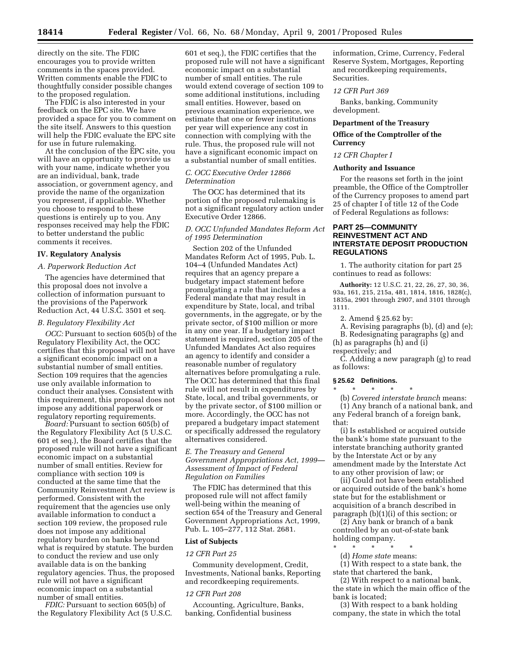directly on the site. The FDIC encourages you to provide written comments in the spaces provided. Written comments enable the FDIC to thoughtfully consider possible changes to the proposed regulation.

The FDIC is also interested in your feedback on the EPC site. We have provided a space for you to comment on the site itself. Answers to this question will help the FDIC evaluate the EPC site for use in future rulemaking.

At the conclusion of the EPC site, you will have an opportunity to provide us with your name, indicate whether you are an individual, bank, trade association, or government agency, and provide the name of the organization you represent, if applicable. Whether you choose to respond to these questions is entirely up to you. Any responses received may help the FDIC to better understand the public comments it receives.

#### **IV. Regulatory Analysis**

#### *A. Paperwork Reduction Act*

The agencies have determined that this proposal does not involve a collection of information pursuant to the provisions of the Paperwork Reduction Act, 44 U.S.C. 3501 et seq.

#### *B. Regulatory Flexibility Act*

*OCC:* Pursuant to section 605(b) of the Regulatory Flexibility Act, the OCC certifies that this proposal will not have a significant economic impact on a substantial number of small entities. Section 109 requires that the agencies use only available information to conduct their analyses. Consistent with this requirement, this proposal does not impose any additional paperwork or regulatory reporting requirements.

*Board:* Pursuant to section 605(b) of the Regulatory Flexibility Act (5 U.S.C. 601 et seq.), the Board certifies that the proposed rule will not have a significant economic impact on a substantial number of small entities. Review for compliance with section 109 is conducted at the same time that the Community Reinvestment Act review is performed. Consistent with the requirement that the agencies use only available information to conduct a section 109 review, the proposed rule does not impose any additional regulatory burden on banks beyond what is required by statute. The burden to conduct the review and use only available data is on the banking regulatory agencies. Thus, the proposed rule will not have a significant economic impact on a substantial number of small entities.

*FDIC:* Pursuant to section 605(b) of the Regulatory Flexibility Act (5 U.S.C.

601 et seq.), the FDIC certifies that the proposed rule will not have a significant economic impact on a substantial number of small entities. The rule would extend coverage of section 109 to some additional institutions, including small entities. However, based on previous examination experience, we estimate that one or fewer institutions per year will experience any cost in connection with complying with the rule. Thus, the proposed rule will not have a significant economic impact on a substantial number of small entities.

### *C. OCC Executive Order 12866 Determination*

The OCC has determined that its portion of the proposed rulemaking is not a significant regulatory action under Executive Order 12866.

#### *D. OCC Unfunded Mandates Reform Act of 1995 Determination*

Section 202 of the Unfunded Mandates Reform Act of 1995, Pub. L. 104–4 (Unfunded Mandates Act) requires that an agency prepare a budgetary impact statement before promulgating a rule that includes a Federal mandate that may result in expenditure by State, local, and tribal governments, in the aggregate, or by the private sector, of \$100 million or more in any one year. If a budgetary impact statement is required, section 205 of the Unfunded Mandates Act also requires an agency to identify and consider a reasonable number of regulatory alternatives before promulgating a rule. The OCC has determined that this final rule will not result in expenditures by State, local, and tribal governments, or by the private sector, of \$100 million or more. Accordingly, the OCC has not prepared a budgetary impact statement or specifically addressed the regulatory alternatives considered.

*E. The Treasury and General Government Appropriations Act, 1999— Assessment of Impact of Federal Regulation on Families*

The FDIC has determined that this proposed rule will not affect family well-being within the meaning of section 654 of the Treasury and General Government Appropriations Act, 1999, Pub. L. 105–277, 112 Stat. 2681.

#### **List of Subjects**

#### *12 CFR Part 25*

Community development, Credit, Investments, National banks, Reporting and recordkeeping requirements.

#### *12 CFR Part 208*

Accounting, Agriculture, Banks, banking, Confidential business

information, Crime, Currency, Federal Reserve System, Mortgages, Reporting and recordkeeping requirements, Securities.

# *12 CFR Part 369*

Banks, banking, Community development.

#### **Department of the Treasury**

# **Office of the Comptroller of the Currency**

# *12 CFR Chapter I*

#### **Authority and Issuance**

For the reasons set forth in the joint preamble, the Office of the Comptroller of the Currency proposes to amend part 25 of chapter I of title 12 of the Code of Federal Regulations as follows:

# **PART 25—COMMUNITY REINVESTMENT ACT AND INTERSTATE DEPOSIT PRODUCTION REGULATIONS**

1. The authority citation for part 25 continues to read as follows:

**Authority:** 12 U.S.C. 21, 22, 26, 27, 30, 36, 93a, 161, 215, 215a, 481, 1814, 1816, 1828(c), 1835a, 2901 through 2907, and 3101 through 3111.

2. Amend § 25.62 by:

A. Revising paragraphs (b), (d) and (e); B. Redesignating paragraphs (g) and

(h) as paragraphs (h) and (i)

# respectively; and

C. Adding a new paragraph (g) to read as follows:

# **§ 25.62 Definitions.**

\* \* \* \* \*

(b) *Covered interstate branch* means: (1) Any branch of a national bank, and any Federal branch of a foreign bank, that:

(i) Is established or acquired outside the bank's home state pursuant to the interstate branching authority granted by the Interstate Act or by any amendment made by the Interstate Act to any other provision of law; or

(ii) Could not have been established or acquired outside of the bank's home state but for the establishment or acquisition of a branch described in paragraph (b)(1)(i) of this section; or

(2) Any bank or branch of a bank controlled by an out-of-state bank holding company.

- \* \* \* \* \*
	- (d) *Home state* means:

(1) With respect to a state bank, the state that chartered the bank,

(2) With respect to a national bank, the state in which the main office of the bank is located;

(3) With respect to a bank holding company, the state in which the total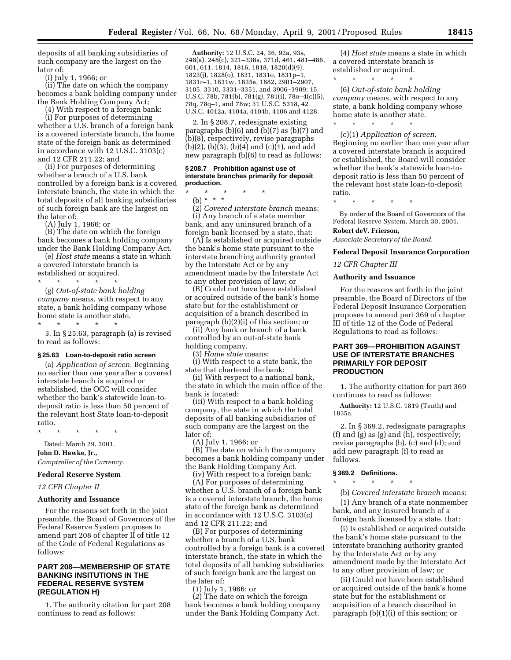deposits of all banking subsidiaries of such company are the largest on the later of:

(i) July 1, 1966; or

(ii) The date on which the company becomes a bank holding company under the Bank Holding Company Act;

(4) With respect to a foreign bank: (i) For purposes of determining whether a U.S. branch of a foreign bank is a covered interstate branch, the home state of the foreign bank as determined in accordance with 12 U.S.C. 3103(c) and 12 CFR 211.22; and

(ii) For purposes of determining whether a branch of a U.S. bank controlled by a foreign bank is a covered interstate branch, the state in which the total deposits of all banking subsidiaries of such foreign bank are the largest on the later of:

(A) July 1, 1966; or

(B) The date on which the foreign bank becomes a bank holding company under the Bank Holding Company Act.

(e) *Host state* means a state in which a covered interstate branch is established or acquired.

\* \* \* \* \* (g) *Out-of-state bank holding company* means, with respect to any state, a bank holding company whose home state is another state. \* \* \* \* \*

3. In § 25.63, paragraph (a) is revised to read as follows:

#### **§ 25.63 Loan-to-deposit ratio screen**

(a) *Application of screen.* Beginning no earlier than one year after a covered interstate branch is acquired or established, the OCC will consider whether the bank's statewide loan-todeposit ratio is less than 50 percent of the relevant host State loan-to-deposit ratio.

\* \* \* \* \*

Dated: March 29, 2001.

**John D. Hawke, Jr.,**

*Comptroller of the Currency.*

# **Federal Reserve System**

*12 CFR Chapter II*

#### **Authority and Issuance**

For the reasons set forth in the joint preamble, the Board of Governors of the Federal Reserve System proposes to amend part 208 of chapter II of title 12 of the Code of Federal Regulations as follows:

# **PART 208—MEMBERSHIP OF STATE BANKING INSITUTIONS IN THE FEDERAL RESERVE SYSTEM (REGULATION H)**

1. The authority citation for part 208 continues to read as follows:

**Authority:** 12 U.S.C. 24, 36, 92a, 93a, 248(a), 248(c), 321–338a, 371d, 461, 481–486, 601, 611, 1814, 1816, 1818, 1820(d)(9), 1823(j), 1828(o), 1831, 1831o, 1831p–1, 1831r–1, 1831w, 1835a, 1882, 2901–2907, 3105, 3310, 3331–3351, and 3906–3909; 15 U.S.C. 78b, 781(b), 781(g), 781(i), 78o–4(c)(5), 78q, 78q–1, and 78w; 31 U.S.C. 5318, 42 U.S.C. 4012a, 4104a, 4104b, 4106 and 4128.

2. In § 208.7, redesignate existing paragraphs (b)(6) and (b)(7) as (b)(7) and (b)(8), respectively, revise paragraphs (b)(2), (b)(3), (b)(4) and (c)(1), and add new paragraph (b)(6) to read as follows:

#### **§ 208.7 Prohibition against use of interstate branches primarily for deposit production.**

\* \* \* \* \*

(b) \* \* \*

(2) *Covered interstate branch* means: (i) Any branch of a state member bank, and any uninsured branch of a foreign bank licensed by a state, that:

(A) Is established or acquired outside the bank's home state pursuant to the interstate branching authority granted by the Interstate Act or by any amendment made by the Interstate Act to any other provision of law; or

(B) Could not have been established or acquired outside of the bank's home state but for the establishment or acquisition of a branch described in paragraph (b)(2)(i) of this section; or

(ii) Any bank or branch of a bank controlled by an out-of-state bank holding company.

(3) *Home state* means:

(i) With respect to a state bank, the state that chartered the bank;

(ii) With respect to a national bank, the state in which the main office of the bank is located;

(iii) With respect to a bank holding company, the state in which the total deposits of all banking subsidiaries of such company are the largest on the later of:

(A) July 1, 1966; or

(B) The date on which the company becomes a bank holding company under the Bank Holding Company Act.

(iv) With respect to a foreign bank: (A) For purposes of determining whether a U.S. branch of a foreign bank is a covered interstate branch, the home state of the foreign bank as determined in accordance with 12 U.S.C. 3103(c) and 12 CFR 211.22; and

(B) For purposes of determining whether a branch of a U.S. bank controlled by a foreign bank is a covered interstate branch, the state in which the total deposits of all banking subsidiaries of such foreign bank are the largest on the later of:

(*1*) July 1, 1966; or

(*2*) The date on which the foreign bank becomes a bank holding company under the Bank Holding Company Act.

(4) *Host state* means a state in which a covered interstate branch is established or acquired.

\* \* \* \* \* (6) *Out-of-state bank holding company* means, with respect to any state, a bank holding company whose home state is another state. \* \* \* \* \*

(c)(1) *Application of screen*. Beginning no earlier than one year after a covered interstate branch is acquired or established, the Board will consider whether the bank's statewide loan-todeposit ratio is less than 50 percent of the relevant host state loan-to-deposit ratio.

\* \* \* \* \*

By order of the Board of Governors of the Federal Reserve System, March 30, 2001.

# **Robert deV. Frierson,**

*Associate Secretary of the Board.*

#### **Federal Deposit Insurance Corporation**

#### *12 CFR Chapter III*

#### **Authority and Issuance**

For the reasons set forth in the joint preamble, the Board of Directors of the Federal Deposit Insurance Corporation proposes to amend part 369 of chapter III of title 12 of the Code of Federal Regulations to read as follows:

# **PART 369—PROHIBITION AGAINST USE OF INTERSTATE BRANCHES PRIMARILY FOR DEPOSIT PRODUCTION**

1. The authority citation for part 369 continues to read as follows:

**Authority:** 12 U.S.C. 1819 (Tenth) and 1835a.

2. In § 369.2, redesignate paragraphs (f) and (g) as (g) and (h), respectively; revise paragraphs (b), (c) and (d); and add new paragraph (f) to read as follows.

# **§ 369.2 Definitions.**

\* \* \* \* \*

(b) *Covered interstate branch* means: (1) Any branch of a state nonmember bank, and any insured branch of a foreign bank licensed by a state, that:

(i) Is established or acquired outside the bank's home state pursuant to the interstate branching authority granted by the Interstate Act or by any amendment made by the Interstate Act to any other provision of law; or

(ii) Could not have been established or acquired outside of the bank's home state but for the establishment or acquisition of a branch described in paragraph (b)(1)(i) of this section; or